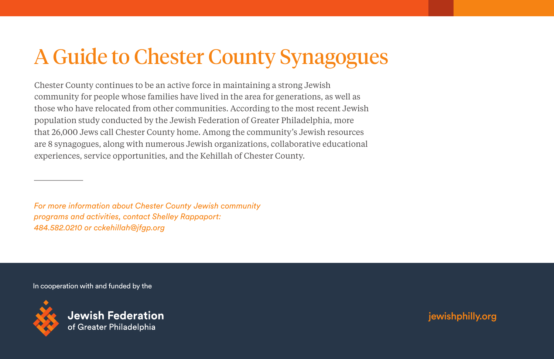# A Guide to Chester County Synagogues

Chester County continues to be an active force in maintaining a strong Jewish community for people whose families have lived in the area for generations, as well as those who have relocated from other communities. According to the most recent Jewish population study conducted by the Jewish Federation of Greater Philadelphia, more that 26,000 Jews call Chester County home. Among the community's Jewish resources are 8 synagogues, along with numerous Jewish organizations, collaborative educational experiences, service opportunities, and the Kehillah of Chester County.

*For more information about Chester County Jewish community programs and activities, contact Shelley Rappaport: 484.582.0210 or cckehillah@jfgp.org*

In cooperation with and funded by the



jewishphilly.org